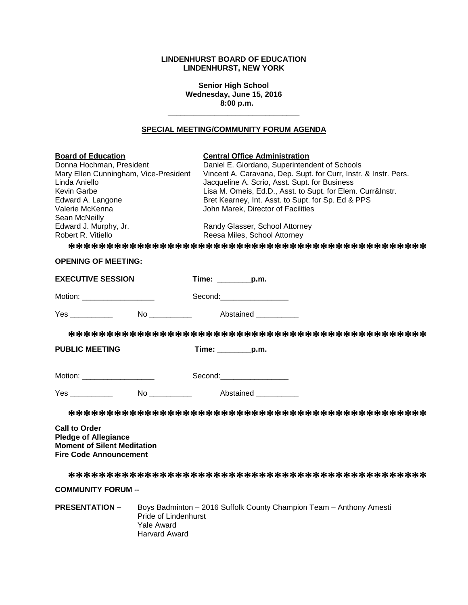# **LINDENHURST BOARD OF EDUCATION LINDENHURST, NEW YORK**

**Senior High School Wednesday, June 15, 2016 8:00 p.m.**

# **SPECIAL MEETING/COMMUNITY FORUM AGENDA**

**\_\_\_\_\_\_\_\_\_\_\_\_\_\_\_\_\_\_\_\_\_\_\_\_\_\_\_\_\_\_\_**

| <b>Board of Education</b><br>Donna Hochman, President<br>Mary Ellen Cunningham, Vice-President<br>Linda Aniello<br>Kevin Garbe<br>Edward A. Langone<br>Valerie McKenna<br>Sean McNeilly<br>Edward J. Murphy, Jr.<br>Robert R. Vitiello |                     | <b>Central Office Administration</b><br>John Marek, Director of Facilities<br>Randy Glasser, School Attorney<br>Reesa Miles, School Attorney                                                                                  | Daniel E. Giordano, Superintendent of Schools<br>Vincent A. Caravana, Dep. Supt. for Curr, Instr. & Instr. Pers.<br>Jacqueline A. Scrio, Asst. Supt. for Business<br>Lisa M. Omeis, Ed.D., Asst. to Supt. for Elem. Curr&Instr.<br>Bret Kearney, Int. Asst. to Supt. for Sp. Ed & PPS |
|----------------------------------------------------------------------------------------------------------------------------------------------------------------------------------------------------------------------------------------|---------------------|-------------------------------------------------------------------------------------------------------------------------------------------------------------------------------------------------------------------------------|---------------------------------------------------------------------------------------------------------------------------------------------------------------------------------------------------------------------------------------------------------------------------------------|
|                                                                                                                                                                                                                                        |                     |                                                                                                                                                                                                                               |                                                                                                                                                                                                                                                                                       |
| <b>OPENING OF MEETING:</b>                                                                                                                                                                                                             |                     |                                                                                                                                                                                                                               |                                                                                                                                                                                                                                                                                       |
| <b>EXECUTIVE SESSION</b>                                                                                                                                                                                                               | Time: _________p.m. |                                                                                                                                                                                                                               |                                                                                                                                                                                                                                                                                       |
| Motion: ____________________                                                                                                                                                                                                           |                     | Second: The Second Second Second Second Second Second Second Second Second Second Second Second Second Second Second Second Second Second Second Second Second Second Second Second Second Second Second Second Second Second |                                                                                                                                                                                                                                                                                       |
| No Abstained                                                                                                                                                                                                                           |                     |                                                                                                                                                                                                                               |                                                                                                                                                                                                                                                                                       |
|                                                                                                                                                                                                                                        |                     |                                                                                                                                                                                                                               |                                                                                                                                                                                                                                                                                       |
| <b>PUBLIC MEETING</b>                                                                                                                                                                                                                  | $Time:$ p.m.        |                                                                                                                                                                                                                               |                                                                                                                                                                                                                                                                                       |
| Motion: ___________________                                                                                                                                                                                                            |                     | Second: Second:                                                                                                                                                                                                               |                                                                                                                                                                                                                                                                                       |
| <b>The Second Second Pressure Abstained</b>                                                                                                                                                                                            |                     |                                                                                                                                                                                                                               |                                                                                                                                                                                                                                                                                       |
|                                                                                                                                                                                                                                        |                     |                                                                                                                                                                                                                               |                                                                                                                                                                                                                                                                                       |
| <b>Call to Order</b><br><b>Pledge of Allegiance</b><br><b>Moment of Silent Meditation</b><br><b>Fire Code Announcement</b>                                                                                                             |                     |                                                                                                                                                                                                                               |                                                                                                                                                                                                                                                                                       |
|                                                                                                                                                                                                                                        |                     |                                                                                                                                                                                                                               |                                                                                                                                                                                                                                                                                       |
| <b>COMMUNITY FORUM --</b>                                                                                                                                                                                                              |                     |                                                                                                                                                                                                                               |                                                                                                                                                                                                                                                                                       |
| <b>PRESENTATION -</b>                                                                                                                                                                                                                  |                     |                                                                                                                                                                                                                               | Boys Badminton - 2016 Suffolk County Champion Team - Anthony Amesti                                                                                                                                                                                                                   |

Pride of Lindenhurst Yale Award Harvard Award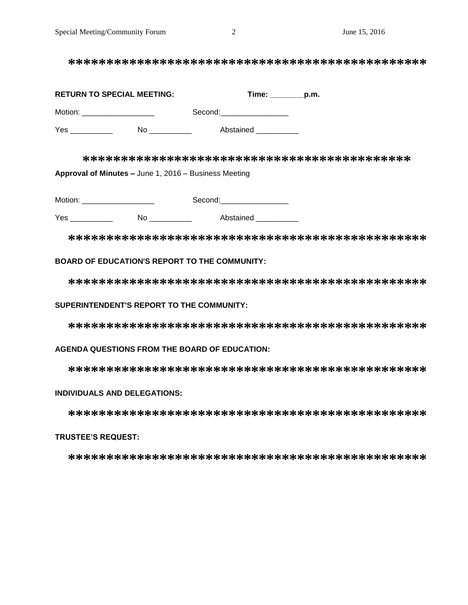**\*\*\*\*\*\*\*\*\*\*\*\*\*\*\*\*\*\*\*\*\*\*\*\*\*\*\*\*\*\*\*\*\*\*\*\*\*\*\*\*\*\*\*\*\*\*\***

| <b>RETURN TO SPECIAL MEETING:</b> | Time: |                                                                                                                                                                                                                                | p.m. |
|-----------------------------------|-------|--------------------------------------------------------------------------------------------------------------------------------------------------------------------------------------------------------------------------------|------|
| Motion:                           |       | Second: with the second of the second of the second of the second of the second of the second of the second of the second of the second of the second of the second of the second of the second of the second of the second of |      |
| Yes                               | N٥    | Abstained                                                                                                                                                                                                                      |      |

**\*\*\*\*\*\*\*\*\*\*\*\*\*\*\*\*\*\*\*\*\*\*\*\*\*\*\*\*\*\*\*\*\*\*\*\*\*\*\*\*\*\*\* Approval of Minutes –** June 1, 2016 – Business Meeting

Motion: \_\_\_\_\_\_\_\_\_\_\_\_\_\_\_\_\_ Second:\_\_\_\_\_\_\_\_\_\_\_\_\_\_\_\_

Yes \_\_\_\_\_\_\_\_\_\_ No \_\_\_\_\_\_\_\_\_\_ Abstained \_\_\_\_\_\_\_\_\_\_

**\*\*\*\*\*\*\*\*\*\*\*\*\*\*\*\*\*\*\*\*\*\*\*\*\*\*\*\*\*\*\*\*\*\*\*\*\*\*\*\*\*\*\*\*\*\*\***

## **BOARD OF EDUCATION'S REPORT TO THE COMMUNITY:**

**\*\*\*\*\*\*\*\*\*\*\*\*\*\*\*\*\*\*\*\*\*\*\*\*\*\*\*\*\*\*\*\*\*\*\*\*\*\*\*\*\*\*\*\*\*\*\***

#### **SUPERINTENDENT'S REPORT TO THE COMMUNITY:**

**\*\*\*\*\*\*\*\*\*\*\*\*\*\*\*\*\*\*\*\*\*\*\*\*\*\*\*\*\*\*\*\*\*\*\*\*\*\*\*\*\*\*\*\*\*\*\***

**AGENDA QUESTIONS FROM THE BOARD OF EDUCATION:**

**\*\*\*\*\*\*\*\*\*\*\*\*\*\*\*\*\*\*\*\*\*\*\*\*\*\*\*\*\*\*\*\*\*\*\*\*\*\*\*\*\*\*\*\*\*\*\***

## **INDIVIDUALS AND DELEGATIONS:**

**\*\*\*\*\*\*\*\*\*\*\*\*\*\*\*\*\*\*\*\*\*\*\*\*\*\*\*\*\*\*\*\*\*\*\*\*\*\*\*\*\*\*\*\*\*\*\***

# **TRUSTEE'S REQUEST:**

**\*\*\*\*\*\*\*\*\*\*\*\*\*\*\*\*\*\*\*\*\*\*\*\*\*\*\*\*\*\*\*\*\*\*\*\*\*\*\*\*\*\*\*\*\*\*\***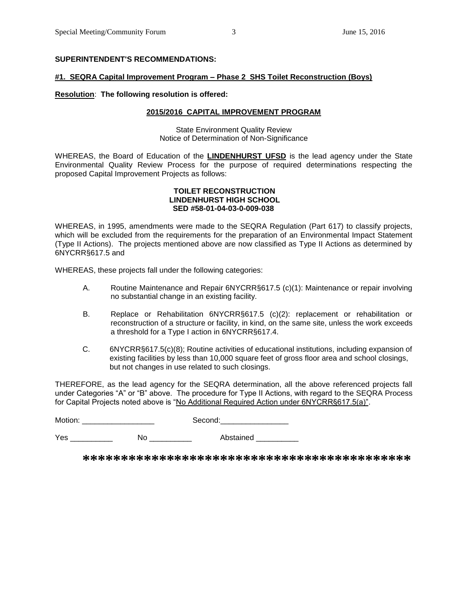# **SUPERINTENDENT'S RECOMMENDATIONS:**

### **#1. SEQRA Capital Improvement Program – Phase 2 SHS Toilet Reconstruction (Boys)**

## **Resolution**: **The following resolution is offered:**

#### **2015/2016 CAPITAL IMPROVEMENT PROGRAM**

State Environment Quality Review Notice of Determination of Non-Significance

WHEREAS, the Board of Education of the **LINDENHURST UFSD** is the lead agency under the State Environmental Quality Review Process for the purpose of required determinations respecting the proposed Capital Improvement Projects as follows:

#### **TOILET RECONSTRUCTION LINDENHURST HIGH SCHOOL SED #58-01-04-03-0-009-038**

WHEREAS, in 1995, amendments were made to the SEQRA Regulation (Part 617) to classify projects, which will be excluded from the requirements for the preparation of an Environmental Impact Statement (Type II Actions). The projects mentioned above are now classified as Type II Actions as determined by 6NYCRR§617.5 and

WHEREAS, these projects fall under the following categories:

- A. Routine Maintenance and Repair 6NYCRR§617.5 (c)(1): Maintenance or repair involving no substantial change in an existing facility.
- B. Replace or Rehabilitation 6NYCRR§617.5 (c)(2): replacement or rehabilitation or reconstruction of a structure or facility, in kind, on the same site, unless the work exceeds a threshold for a Type I action in 6NYCRR§617.4.
- C. 6NYCRR§617.5(c)(8); Routine activities of educational institutions, including expansion of existing facilities by less than 10,000 square feet of gross floor area and school closings, but not changes in use related to such closings.

THEREFORE, as the lead agency for the SEQRA determination, all the above referenced projects fall under Categories "A" or "B" above. The procedure for Type II Actions, with regard to the SEQRA Process for Capital Projects noted above is "No Additional Required Action under 6NYCRR§617.5(a)".

Motion: \_\_\_\_\_\_\_\_\_\_\_\_\_\_\_\_\_ Second:\_\_\_\_\_\_\_\_\_\_\_\_\_\_\_\_

Yes \_\_\_\_\_\_\_\_\_\_\_\_ No \_\_\_\_\_\_\_\_\_\_ Abstained \_\_\_\_\_\_\_\_\_

**\*\*\*\*\*\*\*\*\*\*\*\*\*\*\*\*\*\*\*\*\*\*\*\*\*\*\*\*\*\*\*\*\*\*\*\*\*\*\*\*\*\*\***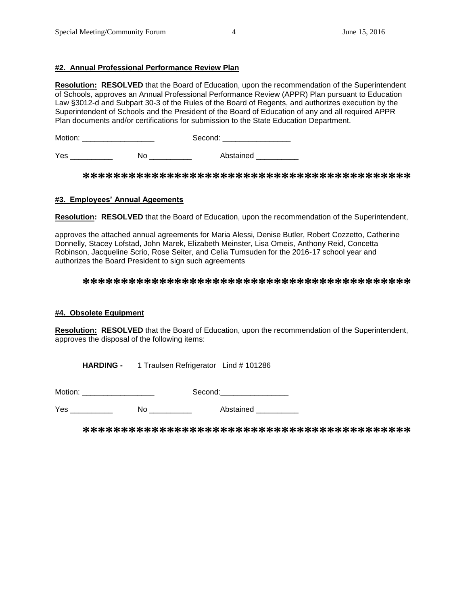## **#2. Annual Professional Performance Review Plan**

**Resolution: RESOLVED** that the Board of Education, upon the recommendation of the Superintendent of Schools, approves an Annual Professional Performance Review (APPR) Plan pursuant to Education Law §3012-d and Subpart 30-3 of the Rules of the Board of Regents, and authorizes execution by the Superintendent of Schools and the President of the Board of Education of any and all required APPR Plan documents and/or certifications for submission to the State Education Department.

Motion: \_\_\_\_\_\_\_\_\_\_\_\_\_\_\_\_\_ Second: \_\_\_\_\_\_\_\_\_\_\_\_\_\_\_\_

Yes \_\_\_\_\_\_\_\_\_\_\_\_\_ No \_\_\_\_\_\_\_\_\_\_\_ Abstained \_\_\_\_\_\_\_\_\_\_

**\*\*\*\*\*\*\*\*\*\*\*\*\*\*\*\*\*\*\*\*\*\*\*\*\*\*\*\*\*\*\*\*\*\*\*\*\*\*\*\*\*\*\***

## **#3. Employees' Annual Ageements**

**Resolution: RESOLVED** that the Board of Education, upon the recommendation of the Superintendent,

approves the attached annual agreements for Maria Alessi, Denise Butler, Robert Cozzetto, Catherine Donnelly, Stacey Lofstad, John Marek, Elizabeth Meinster, Lisa Omeis, Anthony Reid, Concetta Robinson, Jacqueline Scrio, Rose Seiter, and Celia Tumsuden for the 2016-17 school year and authorizes the Board President to sign such agreements

## **\*\*\*\*\*\*\*\*\*\*\*\*\*\*\*\*\*\*\*\*\*\*\*\*\*\*\*\*\*\*\*\*\*\*\*\*\*\*\*\*\*\*\***

# **#4. Obsolete Equipment**

**Resolution: RESOLVED** that the Board of Education, upon the recommendation of the Superintendent, approves the disposal of the following items:

**HARDING -** 1 Traulsen Refrigerator Lind # 101286

Motion: \_\_\_\_\_\_\_\_\_\_\_\_\_\_\_\_\_ Second:\_\_\_\_\_\_\_\_\_\_\_\_\_\_\_\_

Yes \_\_\_\_\_\_\_\_\_\_ No \_\_\_\_\_\_\_\_\_\_ Abstained \_\_\_\_\_\_\_\_\_\_

**\*\*\*\*\*\*\*\*\*\*\*\*\*\*\*\*\*\*\*\*\*\*\*\*\*\*\*\*\*\*\*\*\*\*\*\*\*\*\*\*\*\*\***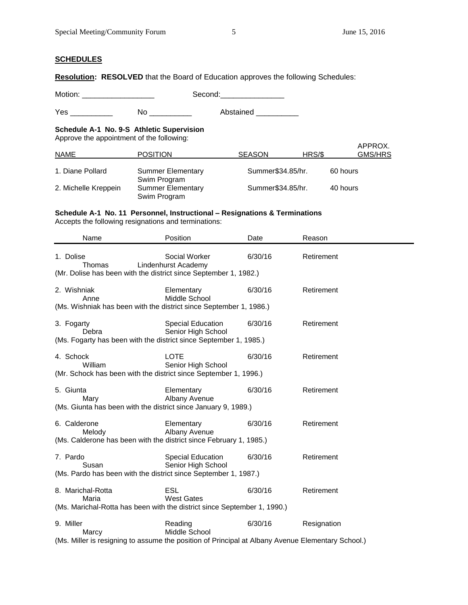## **SCHEDULES**

**Resolution: RESOLVED** that the Board of Education approves the following Schedules:

Motion: \_\_\_\_\_\_\_\_\_\_\_\_\_\_\_\_\_ Second:\_\_\_\_\_\_\_\_\_\_\_\_\_\_\_

Yes \_\_\_\_\_\_\_\_\_\_\_\_ No \_\_\_\_\_\_\_\_\_ Abstained \_\_\_\_\_\_\_\_\_

# **Schedule A-1 No. 9-S Athletic Supervision**

Approve the appointment of the following:

| <b>NAME</b>          | <b>POSITION</b>                          | <b>SEASON</b>     | HRS/\$ | APPROX.<br>GMS/HRS |
|----------------------|------------------------------------------|-------------------|--------|--------------------|
| 1. Diane Pollard     | <b>Summer Elementary</b><br>Swim Program | Summer\$34.85/hr. |        | 60 hours           |
| 2. Michelle Kreppein | <b>Summer Elementary</b><br>Swim Program | Summer\$34.85/hr. |        | 40 hours           |

# **Schedule A-1 No. 11 Personnel, Instructional – Resignations & Terminations**

Accepts the following resignations and terminations:

| Name                                                                                                                    | Position                                       | Date    | Reason      |
|-------------------------------------------------------------------------------------------------------------------------|------------------------------------------------|---------|-------------|
| 1. Dolise<br>Thomas<br>(Mr. Dolise has been with the district since September 1, 1982.)                                 | Social Worker<br>Lindenhurst Academy           | 6/30/16 | Retirement  |
| 2. Wishniak<br>Anne<br>(Ms. Wishniak has been with the district since September 1, 1986.)                               | Elementary<br>Middle School                    | 6/30/16 | Retirement  |
| 3. Fogarty<br>Debra<br>(Ms. Fogarty has been with the district since September 1, 1985.)                                | Special Education<br>Senior High School        | 6/30/16 | Retirement  |
| 4. Schock<br>William<br>(Mr. Schock has been with the district since September 1, 1996.)                                | <b>LOTE</b><br>Senior High School              | 6/30/16 | Retirement  |
| 5. Giunta<br>Mary<br>(Ms. Giunta has been with the district since January 9, 1989.)                                     | Elementary<br>Albany Avenue                    | 6/30/16 | Retirement  |
| 6. Calderone<br>Melody<br>(Ms. Calderone has been with the district since February 1, 1985.)                            | Elementary<br>Albany Avenue                    | 6/30/16 | Retirement  |
| 7. Pardo<br>Susan<br>(Ms. Pardo has been with the district since September 1, 1987.)                                    | <b>Special Education</b><br>Senior High School | 6/30/16 | Retirement  |
| 8. Marichal-Rotta<br>Maria<br>(Ms. Marichal-Rotta has been with the district since September 1, 1990.)                  | <b>ESL</b><br><b>West Gates</b>                | 6/30/16 | Retirement  |
| 9. Miller<br>Marcy<br>(Ms. Miller is resigning to assume the position of Principal at Albany Avenue Elementary School.) | Reading<br>Middle School                       | 6/30/16 | Resignation |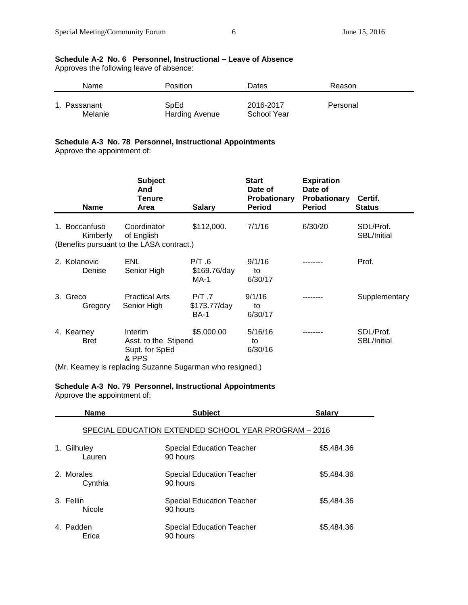# **Schedule A-2 No. 6 Personnel, Instructional – Leave of Absence**

Approves the following leave of absence:

| Name      | <b>Position</b>       | Dates       | Reason   |
|-----------|-----------------------|-------------|----------|
| Passanant | SpEd                  | 2016-2017   | Personal |
| Melanie   | <b>Harding Avenue</b> | School Year |          |

## **Schedule A-3 No. 78 Personnel, Instructional Appointments**

Approve the appointment of:

| <b>Name</b>                   | <b>Subject</b><br>And<br>Tenure<br>Area                                | <b>Salary</b>                          | <b>Start</b><br>Date of<br><b>Probationary</b><br><b>Period</b> | <b>Expiration</b><br>Date of<br><b>Probationary</b><br><b>Period</b> | Certif.<br><b>Status</b> |
|-------------------------------|------------------------------------------------------------------------|----------------------------------------|-----------------------------------------------------------------|----------------------------------------------------------------------|--------------------------|
| <b>Boccanfuso</b><br>Kimberly | Coordinator<br>of English<br>(Benefits pursuant to the LASA contract.) | \$112,000.                             | 7/1/16                                                          | 6/30/20                                                              | SDL/Prof.<br>SBL/Initial |
| 2. Kolanovic<br>Denise        | ENL<br>Senior High                                                     | P/T.6<br>\$169.76/day<br>MA-1          | 9/1/16<br>to<br>6/30/17                                         |                                                                      | Prof.                    |
| 3. Greco<br>Gregory           | <b>Practical Arts</b><br>Senior High                                   | $P/T$ 7<br>\$173.77/day<br><b>BA-1</b> | 9/1/16<br>to<br>6/30/17                                         |                                                                      | Supplementary            |
| 4. Kearney<br><b>Bret</b>     | Interim<br>Asst. to the Stipend<br>Supt. for SpEd<br>& PPS             | \$5,000.00                             | 5/16/16<br>to<br>6/30/16                                        |                                                                      | SDL/Prof.<br>SBL/Initial |

(Mr. Kearney is replacing Suzanne Sugarman who resigned.)

# **Schedule A-3 No. 79 Personnel, Instructional Appointments**

Approve the appointment of:

| <b>Name</b>           | <b>Subject</b>                                        | <b>Salary</b> |
|-----------------------|-------------------------------------------------------|---------------|
|                       | SPECIAL EDUCATION EXTENDED SCHOOL YEAR PROGRAM - 2016 |               |
| 1. Gilhuley<br>Lauren | Special Education Teacher<br>90 hours                 | \$5,484.36    |
| 2. Morales<br>Cynthia | <b>Special Education Teacher</b><br>90 hours          | \$5,484.36    |
| 3. Fellin<br>Nicole   | Special Education Teacher<br>90 hours                 | \$5,484.36    |
| 4. Padden<br>Erica    | Special Education Teacher<br>90 hours                 | \$5,484.36    |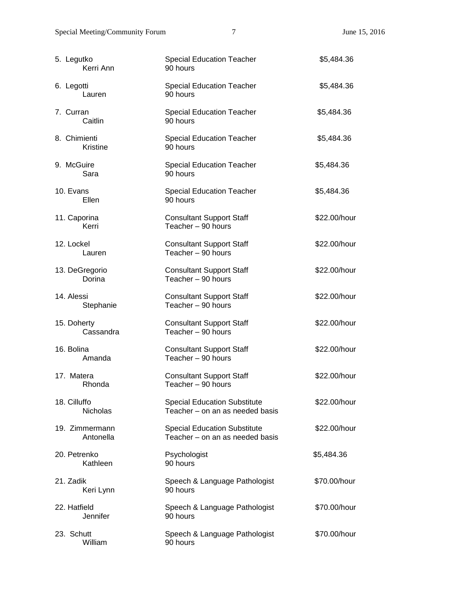| 5. Legutko<br>Kerri Ann         | <b>Special Education Teacher</b><br>90 hours                           | \$5,484.36   |
|---------------------------------|------------------------------------------------------------------------|--------------|
| 6. Legotti<br>Lauren            | <b>Special Education Teacher</b><br>90 hours                           | \$5,484.36   |
| 7. Curran<br>Caitlin            | <b>Special Education Teacher</b><br>90 hours                           | \$5,484.36   |
| 8. Chimienti<br>Kristine        | <b>Special Education Teacher</b><br>90 hours                           | \$5,484.36   |
| 9. McGuire<br>Sara              | <b>Special Education Teacher</b><br>90 hours                           | \$5,484.36   |
| 10. Evans<br>Ellen              | <b>Special Education Teacher</b><br>90 hours                           | \$5,484.36   |
| 11. Caporina<br>Kerri           | <b>Consultant Support Staff</b><br>Teacher - 90 hours                  | \$22.00/hour |
| 12. Lockel<br>Lauren            | <b>Consultant Support Staff</b><br>Teacher - 90 hours                  | \$22.00/hour |
| 13. DeGregorio<br>Dorina        | <b>Consultant Support Staff</b><br>Teacher - 90 hours                  | \$22.00/hour |
| 14. Alessi<br>Stephanie         | <b>Consultant Support Staff</b><br>Teacher - 90 hours                  | \$22.00/hour |
| 15. Doherty<br>Cassandra        | <b>Consultant Support Staff</b><br>Teacher - 90 hours                  | \$22.00/hour |
| 16. Bolina<br>Amanda            | <b>Consultant Support Staff</b><br>Teacher - 90 hours                  | \$22.00/hour |
| 17. Matera<br>Rhonda            | <b>Consultant Support Staff</b><br>Teacher - 90 hours                  | \$22.00/hour |
| 18. Cilluffo<br><b>Nicholas</b> | <b>Special Education Substitute</b><br>Teacher - on an as needed basis | \$22.00/hour |
| 19. Zimmermann<br>Antonella     | <b>Special Education Substitute</b><br>Teacher - on an as needed basis | \$22.00/hour |
| 20. Petrenko<br>Kathleen        | Psychologist<br>90 hours                                               | \$5,484.36   |
| 21. Zadik<br>Keri Lynn          | Speech & Language Pathologist<br>90 hours                              | \$70.00/hour |
| 22. Hatfield<br>Jennifer        | Speech & Language Pathologist<br>90 hours                              | \$70.00/hour |
| 23. Schutt<br>William           | Speech & Language Pathologist<br>90 hours                              | \$70.00/hour |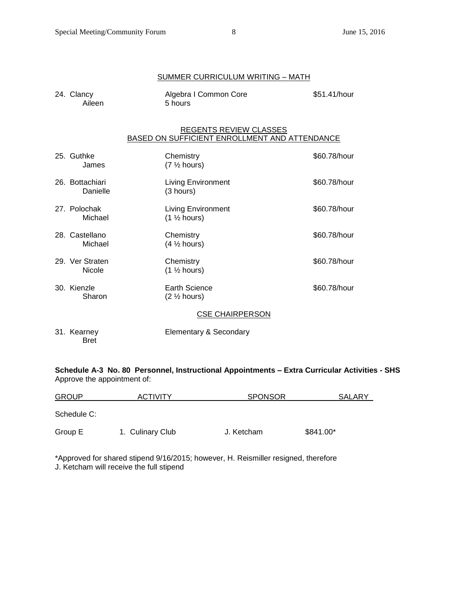|                             | <b>SUMMER CURRICULUM WRITING - MATH</b>                                        |              |
|-----------------------------|--------------------------------------------------------------------------------|--------------|
| 24. Clancy<br>Aileen        | Algebra I Common Core<br>5 hours                                               | \$51.41/hour |
|                             | <b>REGENTS REVIEW CLASSES</b><br>BASED ON SUFFICIENT ENROLLMENT AND ATTENDANCE |              |
| 25. Guthke<br>James         | Chemistry<br>$(7 \frac{1}{2} hours)$                                           | \$60.78/hour |
| 26. Bottachiari<br>Danielle | <b>Living Environment</b><br>(3 hours)                                         | \$60.78/hour |
| 27. Polochak<br>Michael     | <b>Living Environment</b><br>$(1 \frac{1}{2} \text{ hours})$                   | \$60.78/hour |
| 28. Castellano<br>Michael   | Chemistry<br>$(4 \frac{1}{2}$ hours)                                           | \$60.78/hour |
| 29. Ver Straten<br>Nicole   | Chemistry<br>$(1 \frac{1}{2} \text{ hours})$                                   | \$60.78/hour |
| 30. Kienzle<br>Sharon       | <b>Earth Science</b><br>$(2 \frac{1}{2})$ hours)                               | \$60.78/hour |
|                             | <b>CSE CHAIRPERSON</b>                                                         |              |
| 31. Kearney<br><b>Bret</b>  | Elementary & Secondary                                                         |              |

**Schedule A-3 No. 80 Personnel, Instructional Appointments – Extra Curricular Activities - SHS** Approve the appointment of:

| <b>GROUP</b> | <b>ACTIVITY</b>  | <b>SPONSOR</b> | SALARY    |
|--------------|------------------|----------------|-----------|
| Schedule C:  |                  |                |           |
| Group E      | 1. Culinary Club | J. Ketcham     | \$841.00* |

\*Approved for shared stipend 9/16/2015; however, H. Reismiller resigned, therefore J. Ketcham will receive the full stipend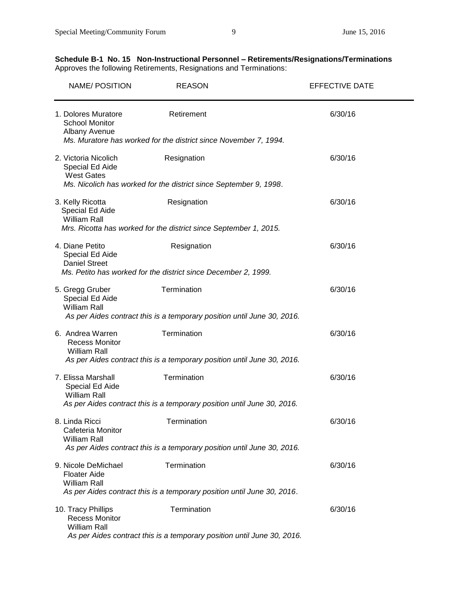# **Schedule B-1 No. 15 Non-Instructional Personnel – Retirements/Resignations/Terminations** Approves the following Retirements, Resignations and Terminations:

| <b>NAME/POSITION</b>                                               | <b>REASON</b>                                                           | <b>EFFECTIVE DATE</b> |
|--------------------------------------------------------------------|-------------------------------------------------------------------------|-----------------------|
| 1. Dolores Muratore<br><b>School Monitor</b><br>Albany Avenue      | Retirement                                                              | 6/30/16               |
|                                                                    | Ms. Muratore has worked for the district since November 7, 1994.        |                       |
| 2. Victoria Nicolich<br>Special Ed Aide<br><b>West Gates</b>       | Resignation                                                             | 6/30/16               |
|                                                                    | Ms. Nicolich has worked for the district since September 9, 1998.       |                       |
| 3. Kelly Ricotta<br>Special Ed Aide<br><b>William Rall</b>         | Resignation                                                             | 6/30/16               |
|                                                                    | Mrs. Ricotta has worked for the district since September 1, 2015.       |                       |
| 4. Diane Petito<br>Special Ed Aide<br><b>Daniel Street</b>         | Resignation                                                             | 6/30/16               |
|                                                                    | Ms. Petito has worked for the district since December 2, 1999.          |                       |
| 5. Gregg Gruber<br>Special Ed Aide<br><b>William Rall</b>          | Termination                                                             | 6/30/16               |
|                                                                    | As per Aides contract this is a temporary position until June 30, 2016. |                       |
|                                                                    | Termination                                                             |                       |
| 6. Andrea Warren<br><b>Recess Monitor</b><br><b>William Rall</b>   |                                                                         | 6/30/16               |
|                                                                    | As per Aides contract this is a temporary position until June 30, 2016. |                       |
| 7. Elissa Marshall<br>Special Ed Aide<br><b>William Rall</b>       | Termination                                                             | 6/30/16               |
|                                                                    | As per Aides contract this is a temporary position until June 30, 2016. |                       |
| 8. Linda Ricci                                                     | Termination                                                             | 6/30/16               |
| Cafeteria Monitor<br><b>William Rall</b>                           |                                                                         |                       |
|                                                                    | As per Aides contract this is a temporary position until June 30, 2016. |                       |
| 9. Nicole DeMichael<br><b>Floater Aide</b><br><b>William Rall</b>  | Termination                                                             | 6/30/16               |
|                                                                    | As per Aides contract this is a temporary position until June 30, 2016. |                       |
| 10. Tracy Phillips<br><b>Recess Monitor</b><br><b>William Rall</b> | Termination                                                             | 6/30/16               |
|                                                                    | As per Aides contract this is a temporary position until June 30, 2016. |                       |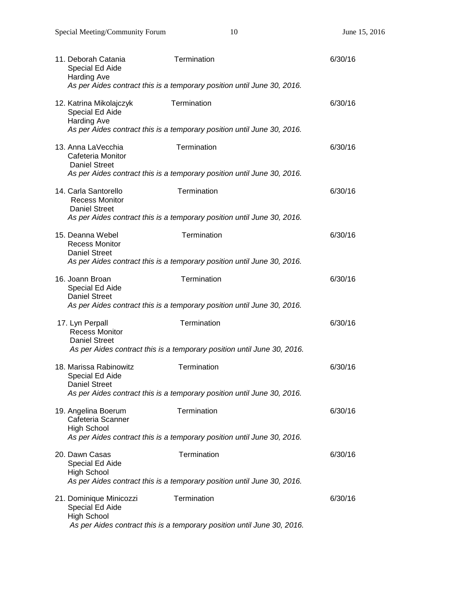| 11. Deborah Catania<br>Special Ed Aide<br><b>Harding Ave</b>          | Termination<br>As per Aides contract this is a temporary position until June 30, 2016. | 6/30/16 |
|-----------------------------------------------------------------------|----------------------------------------------------------------------------------------|---------|
| 12. Katrina Mikolajczyk<br>Special Ed Aide<br><b>Harding Ave</b>      | Termination                                                                            | 6/30/16 |
|                                                                       | As per Aides contract this is a temporary position until June 30, 2016.                |         |
| 13. Anna LaVecchia<br>Cafeteria Monitor<br><b>Daniel Street</b>       | Termination                                                                            | 6/30/16 |
|                                                                       | As per Aides contract this is a temporary position until June 30, 2016.                |         |
| 14. Carla Santorello<br><b>Recess Monitor</b><br><b>Daniel Street</b> | Termination                                                                            | 6/30/16 |
|                                                                       | As per Aides contract this is a temporary position until June 30, 2016.                |         |
| 15. Deanna Webel<br><b>Recess Monitor</b>                             | Termination                                                                            | 6/30/16 |
| <b>Daniel Street</b>                                                  | As per Aides contract this is a temporary position until June 30, 2016.                |         |
| 16. Joann Broan<br>Special Ed Aide<br><b>Daniel Street</b>            | Termination                                                                            | 6/30/16 |
|                                                                       | As per Aides contract this is a temporary position until June 30, 2016.                |         |
| 17. Lyn Perpall<br><b>Recess Monitor</b><br><b>Daniel Street</b>      | Termination                                                                            | 6/30/16 |
|                                                                       | As per Aides contract this is a temporary position until June 30, 2016.                |         |
| 18. Marissa Rabinowitz<br>Special Ed Aide<br><b>Daniel Street</b>     | Termination                                                                            | 6/30/16 |
|                                                                       | As per Aides contract this is a temporary position until June 30, 2016.                |         |
| 19. Angelina Boerum<br>Cafeteria Scanner<br><b>High School</b>        | Termination                                                                            | 6/30/16 |
|                                                                       | As per Aides contract this is a temporary position until June 30, 2016.                |         |
| 20. Dawn Casas<br>Special Ed Aide                                     | Termination                                                                            | 6/30/16 |
| <b>High School</b>                                                    | As per Aides contract this is a temporary position until June 30, 2016.                |         |
| 21. Dominique Minicozzi                                               | Termination                                                                            | 6/30/16 |
| Special Ed Aide<br><b>High School</b>                                 | As per Aides contract this is a temporary position until June 30, 2016.                |         |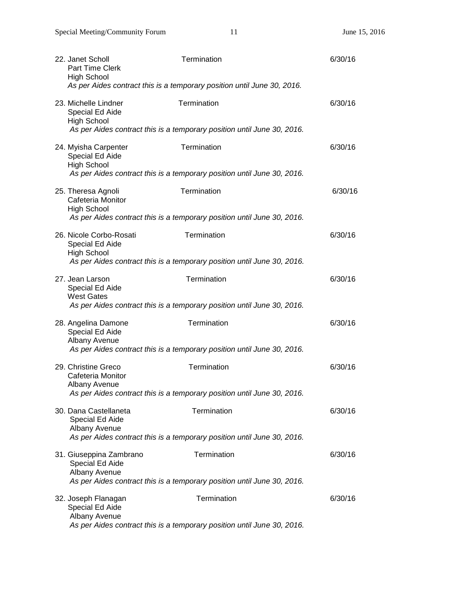| 22. Janet Scholl<br><b>Part Time Clerk</b><br><b>High School</b> | Termination<br>As per Aides contract this is a temporary position until June 30, 2016. | 6/30/16 |
|------------------------------------------------------------------|----------------------------------------------------------------------------------------|---------|
| 23. Michelle Lindner<br>Special Ed Aide<br><b>High School</b>    | Termination<br>As per Aides contract this is a temporary position until June 30, 2016. | 6/30/16 |
| 24. Myisha Carpenter<br>Special Ed Aide<br><b>High School</b>    | Termination<br>As per Aides contract this is a temporary position until June 30, 2016. | 6/30/16 |
| 25. Theresa Agnoli<br>Cafeteria Monitor<br><b>High School</b>    | Termination<br>As per Aides contract this is a temporary position until June 30, 2016. | 6/30/16 |
| 26. Nicole Corbo-Rosati<br>Special Ed Aide<br><b>High School</b> | Termination<br>As per Aides contract this is a temporary position until June 30, 2016. | 6/30/16 |
| 27. Jean Larson<br>Special Ed Aide<br><b>West Gates</b>          | Termination<br>As per Aides contract this is a temporary position until June 30, 2016. | 6/30/16 |
| 28. Angelina Damone<br>Special Ed Aide<br>Albany Avenue          | Termination<br>As per Aides contract this is a temporary position until June 30, 2016. | 6/30/16 |
| 29. Christine Greco<br>Cafeteria Monitor<br>Albany Avenue        | Termination<br>As per Aides contract this is a temporary position until June 30, 2016. | 6/30/16 |
| 30. Dana Castellaneta<br>Special Ed Aide<br>Albany Avenue        | Termination<br>As per Aides contract this is a temporary position until June 30, 2016. | 6/30/16 |
| 31. Giuseppina Zambrano<br>Special Ed Aide<br>Albany Avenue      | Termination<br>As per Aides contract this is a temporary position until June 30, 2016. | 6/30/16 |
| 32. Joseph Flanagan<br>Special Ed Aide<br>Albany Avenue          | Termination<br>As per Aides contract this is a temporary position until June 30, 2016. | 6/30/16 |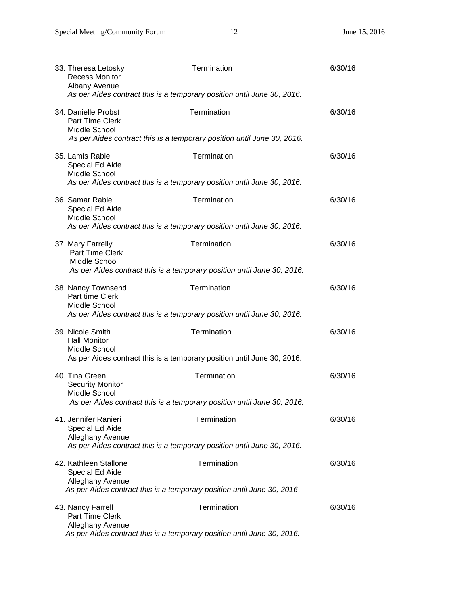| 33. Theresa Letosky<br><b>Recess Monitor</b><br>Albany Avenue<br>As per Aides contract this is a temporary position until June 30, 2016.   | Termination | 6/30/16 |
|--------------------------------------------------------------------------------------------------------------------------------------------|-------------|---------|
| 34. Danielle Probst<br><b>Part Time Clerk</b><br>Middle School<br>As per Aides contract this is a temporary position until June 30, 2016.  | Termination | 6/30/16 |
| 35. Lamis Rabie<br>Special Ed Aide<br>Middle School<br>As per Aides contract this is a temporary position until June 30, 2016.             | Termination | 6/30/16 |
| 36. Samar Rabie<br>Special Ed Aide<br>Middle School<br>As per Aides contract this is a temporary position until June 30, 2016.             | Termination | 6/30/16 |
| 37. Mary Farrelly<br><b>Part Time Clerk</b><br>Middle School<br>As per Aides contract this is a temporary position until June 30, 2016.    | Termination | 6/30/16 |
| 38. Nancy Townsend<br>Part time Clerk<br>Middle School<br>As per Aides contract this is a temporary position until June 30, 2016.          | Termination | 6/30/16 |
| 39. Nicole Smith<br><b>Hall Monitor</b><br>Middle School<br>As per Aides contract this is a temporary position until June 30, 2016.        | Termination | 6/30/16 |
| 40. Tina Green<br><b>Security Monitor</b><br>Middle School<br>As per Aides contract this is a temporary position until June 30, 2016.      | Termination | 6/30/16 |
| 41. Jennifer Ranieri<br>Special Ed Aide<br>Alleghany Avenue<br>As per Aides contract this is a temporary position until June 30, 2016.     | Termination | 6/30/16 |
| 42. Kathleen Stallone<br>Special Ed Aide<br>Alleghany Avenue<br>As per Aides contract this is a temporary position until June 30, 2016.    | Termination | 6/30/16 |
| 43. Nancy Farrell<br><b>Part Time Clerk</b><br>Alleghany Avenue<br>As per Aides contract this is a temporary position until June 30, 2016. | Termination | 6/30/16 |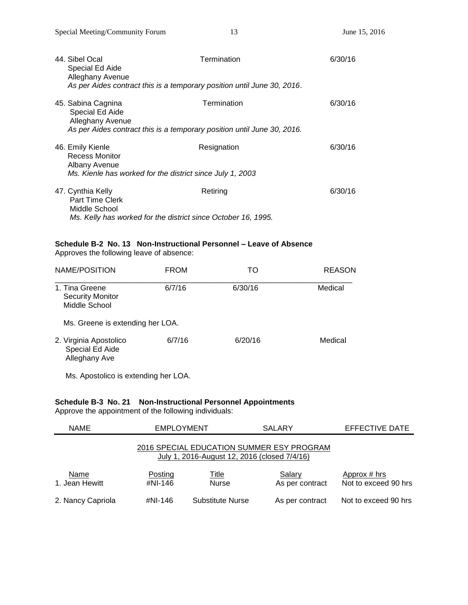| 44. Sibel Ocal<br>Special Ed Aide<br><b>Alleghany Avenue</b><br>As per Aides contract this is a temporary position until June 30, 2016. | Termination | 6/30/16 |
|-----------------------------------------------------------------------------------------------------------------------------------------|-------------|---------|
| 45. Sabina Cagnina<br>Special Ed Aide<br>Alleghany Avenue<br>As per Aides contract this is a temporary position until June 30, 2016.    | Termination | 6/30/16 |
| 46. Emily Kienle<br>Recess Monitor<br>Albany Avenue<br>Ms. Kienle has worked for the district since July 1, 2003                        | Resignation | 6/30/16 |
| 47. Cynthia Kelly<br><b>Part Time Clerk</b><br>Middle School<br>Ms. Kelly has worked for the district since October 16, 1995.           | Retiring    | 6/30/16 |

# **Schedule B-2 No. 13 Non-Instructional Personnel – Leave of Absence**

Approves the following leave of absence:

| NAME/POSITION                                              | <b>FROM</b> | TO      | <b>REASON</b> |
|------------------------------------------------------------|-------------|---------|---------------|
| 1. Tina Greene<br><b>Security Monitor</b><br>Middle School | 6/7/16      | 6/30/16 | Medical       |
| Ms. Greene is extending her LOA.                           |             |         |               |
| 2. Virginia Apostolico<br>Special Ed Aide<br>Alleghany Ave | 6/7/16      | 6/20/16 | Medical       |

Ms. Apostolico is extending her LOA.

# **Schedule B-3 No. 21 Non-Instructional Personnel Appointments**

Approve the appointment of the following individuals:

| <b>NAME</b>                                                                               | <b>EMPLOYMENT</b>  |                              | <b>SALARY</b>             | EFFECTIVE DATE                       |
|-------------------------------------------------------------------------------------------|--------------------|------------------------------|---------------------------|--------------------------------------|
| 2016 SPECIAL EDUCATION SUMMER ESY PROGRAM<br>July 1, 2016-August 12, 2016 (closed 7/4/16) |                    |                              |                           |                                      |
| Name<br>1. Jean Hewitt                                                                    | Posting<br>#NI-146 | <u>Title</u><br><b>Nurse</b> | Salary<br>As per contract | Approx # hrs<br>Not to exceed 90 hrs |
| 2. Nancy Capriola                                                                         | #NI-146            | Substitute Nurse             | As per contract           | Not to exceed 90 hrs                 |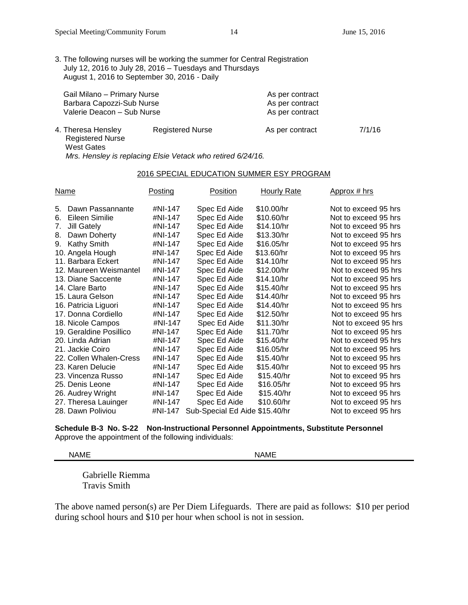3. The following nurses will be working the summer for Central Registration July 12, 2016 to July 28, 2016 – Tuesdays and Thursdays August 1, 2016 to September 30, 2016 - Daily

| Gail Milano - Primary Nurse<br>Barbara Capozzi-Sub Nurse<br>Valerie Deacon - Sub Nurse |                  | As per contract<br>As per contract<br>As per contract |  |
|----------------------------------------------------------------------------------------|------------------|-------------------------------------------------------|--|
| 1 Thoroga Honolou                                                                      | Dogiotorod Nuroo | $\Lambda$ o nor controot                              |  |

| 4. Theresa Hensley | <b>Registered Nurse</b>                                     | As per contract | 7/1/16 |
|--------------------|-------------------------------------------------------------|-----------------|--------|
| Registered Nurse   |                                                             |                 |        |
| West Gates         |                                                             |                 |        |
|                    | Mrs. Hensley is replacing Elsie Vetack who retired 6/24/16. |                 |        |

#### 2016 SPECIAL EDUCATION SUMMER ESY PROGRAM

| <u>Name</u>                                                                                                                                                                                                                                                                                                                                                                                                                                                         | <b>Posting</b>                                                                                                                                                                                                           | <u>Position</u>                                                                                                                                                                                                                                                                                                              | <b>Hourly Rate</b>                                                                                                                                                                                                                                                                   | Approx # hrs                                                                                                                                                                                                                                                                                                                                                                                                                                                                                 |
|---------------------------------------------------------------------------------------------------------------------------------------------------------------------------------------------------------------------------------------------------------------------------------------------------------------------------------------------------------------------------------------------------------------------------------------------------------------------|--------------------------------------------------------------------------------------------------------------------------------------------------------------------------------------------------------------------------|------------------------------------------------------------------------------------------------------------------------------------------------------------------------------------------------------------------------------------------------------------------------------------------------------------------------------|--------------------------------------------------------------------------------------------------------------------------------------------------------------------------------------------------------------------------------------------------------------------------------------|----------------------------------------------------------------------------------------------------------------------------------------------------------------------------------------------------------------------------------------------------------------------------------------------------------------------------------------------------------------------------------------------------------------------------------------------------------------------------------------------|
| Dawn Passannante<br>5.<br>Eileen Similie<br>6.<br><b>Jill Gately</b><br>7.<br>Dawn Doherty<br>8.<br>Kathy Smith<br>9.<br>10. Angela Hough<br>11. Barbara Eckert<br>12. Maureen Weismantel<br>13. Diane Saccente<br>14. Clare Barto<br>15. Laura Gelson<br>16. Patricia Liguori<br>17. Donna Cordiello<br>18. Nicole Campos<br>19. Geraldine Posillico<br>20. Linda Adrian<br>21. Jackie Coiro<br>22. Collen Whalen-Cress<br>23. Karen Delucie<br>23. Vincenza Russo | #NI-147<br>#NI-147<br>#NI-147<br>#NI-147<br>#NI-147<br>#NI-147<br>#NI-147<br>#NI-147<br>#NI-147<br>#NI-147<br>#NI-147<br>#NI-147<br>#NI-147<br>#NI-147<br>#NI-147<br>#NI-147<br>#NI-147<br>#NI-147<br>#NI-147<br>#NI-147 | Spec Ed Aide<br>Spec Ed Aide<br>Spec Ed Aide<br>Spec Ed Aide<br>Spec Ed Aide<br>Spec Ed Aide<br>Spec Ed Aide<br>Spec Ed Aide<br>Spec Ed Aide<br>Spec Ed Aide<br>Spec Ed Aide<br>Spec Ed Aide<br>Spec Ed Aide<br>Spec Ed Aide<br>Spec Ed Aide<br>Spec Ed Aide<br>Spec Ed Aide<br>Spec Ed Aide<br>Spec Ed Aide<br>Spec Ed Aide | \$10.00/hr<br>\$10.60/hr<br>\$14.10/hr<br>\$13.30/hr<br>\$16.05/hr<br>\$13.60/hr<br>\$14.10/hr<br>\$12.00/hr<br>\$14.10/hr<br>\$15.40/hr<br>\$14.40/hr<br>\$14.40/hr<br>\$12.50/hr<br>\$11.30/hr<br>\$11.70/hr<br>\$15.40/hr<br>\$16.05/hr<br>\$15.40/hr<br>\$15.40/hr<br>\$15.40/hr | Not to exceed 95 hrs<br>Not to exceed 95 hrs<br>Not to exceed 95 hrs<br>Not to exceed 95 hrs<br>Not to exceed 95 hrs<br>Not to exceed 95 hrs<br>Not to exceed 95 hrs<br>Not to exceed 95 hrs<br>Not to exceed 95 hrs<br>Not to exceed 95 hrs<br>Not to exceed 95 hrs<br>Not to exceed 95 hrs<br>Not to exceed 95 hrs<br>Not to exceed 95 hrs<br>Not to exceed 95 hrs<br>Not to exceed 95 hrs<br>Not to exceed 95 hrs<br>Not to exceed 95 hrs<br>Not to exceed 95 hrs<br>Not to exceed 95 hrs |
| 25. Denis Leone<br>26. Audrey Wright<br>27. Theresa Lauinger                                                                                                                                                                                                                                                                                                                                                                                                        | #NI-147<br>#NI-147<br>#NI-147                                                                                                                                                                                            | Spec Ed Aide<br>Spec Ed Aide<br>Spec Ed Aide                                                                                                                                                                                                                                                                                 | \$16.05/hr<br>\$15.40/hr<br>\$10.60/hr                                                                                                                                                                                                                                               | Not to exceed 95 hrs<br>Not to exceed 95 hrs<br>Not to exceed 95 hrs                                                                                                                                                                                                                                                                                                                                                                                                                         |
| 28. Dawn Poliviou                                                                                                                                                                                                                                                                                                                                                                                                                                                   | #NI-147                                                                                                                                                                                                                  | Sub-Special Ed Aide \$15.40/hr                                                                                                                                                                                                                                                                                               |                                                                                                                                                                                                                                                                                      | Not to exceed 95 hrs                                                                                                                                                                                                                                                                                                                                                                                                                                                                         |

**Schedule B-3 No. S-22 Non-Instructional Personnel Appointments, Substitute Personnel** Approve the appointment of the following individuals:

NAME NAME

Gabrielle Riemma Travis Smith

The above named person(s) are Per Diem Lifeguards. There are paid as follows: \$10 per period during school hours and \$10 per hour when school is not in session.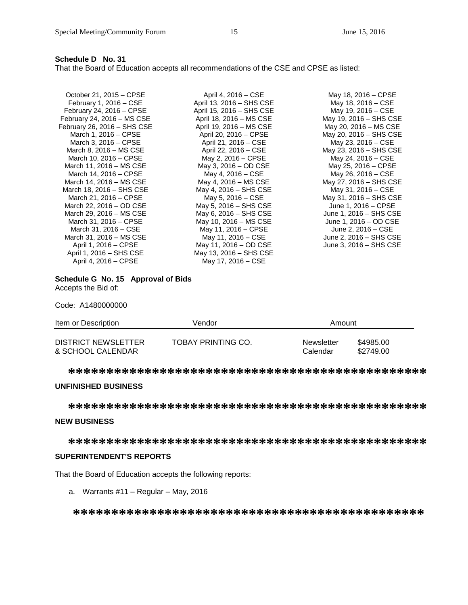## **Schedule D No. 31**

That the Board of Education accepts all recommendations of the CSE and CPSE as listed:

| October 21, 2015 – CPSE<br>February 1, $2016 - CSE$ | April 4, 2016 – CSE<br>April 13, 2016 - SHS CSE | May 18, 2016 – CPSE<br>May 18, 2016 – CSE |
|-----------------------------------------------------|-------------------------------------------------|-------------------------------------------|
| February 24, 2016 – CPSE                            | April 15, 2016 - SHS CSE                        | May 19, 2016 – CSE                        |
| February 24, 2016 - MS CSE                          | April 18, 2016 - MS CSE                         | May 19, 2016 – SHS CSE                    |
| February 26, 2016 - SHS CSE                         | April 19, 2016 - MS CSE                         | May 20, 2016 - MS CSE                     |
| March 1, 2016 – CPSE                                | April 20, 2016 - CPSE                           | May 20, 2016 - SHS CSE                    |
| March 3, 2016 – CPSE                                | April 21, 2016 – CSE                            | May 23, 2016 – CSE                        |
| March 8, 2016 – MS CSE                              | April 22, 2016 – CSE                            | May 23, 2016 – SHS CSE                    |
| March 10, 2016 - CPSE                               | May 2, 2016 – CPSE                              | May 24, 2016 – CSE                        |
| March 11, 2016 - MS CSE                             | May 3, 2016 - OD CSE                            | May 25, 2016 - CPSE                       |
| March 14, 2016 – CPSE                               | May 4, 2016 – CSE                               | May 26, 2016 – CSE                        |
| March 14, 2016 - MS CSE                             | May 4, 2016 – MS CSE                            | May 27, 2016 – SHS CSE                    |
| March 18, 2016 – SHS CSE                            | May 4, 2016 – SHS CSE                           | May 31, 2016 – CSE                        |
| March 21, 2016 - CPSE                               | May 5, 2016 – CSE                               | May 31, 2016 - SHS CSE                    |
| March 22, 2016 - OD CSE                             | May 5, 2016 – SHS CSE                           | June 1, 2016 – CPSE                       |
| March 29, 2016 - MS CSE                             | May 6, 2016 – SHS CSE                           | June 1, 2016 – SHS CSE                    |
| March 31, 2016 - CPSE                               | May 10, 2016 – MS CSE                           | June 1, 2016 – OD CSE                     |
| March 31, 2016 - CSE                                | May 11, 2016 – CPSE                             | June 2, 2016 – CSE                        |
| March 31, 2016 - MS CSE                             | May 11, 2016 – CSE                              | June 2, 2016 – SHS CSE                    |
| April 1, 2016 – CPSE                                | May 11, 2016 – OD CSE                           | June 3, 2016 – SHS CSE                    |
| April 1, 2016 – SHS CSE                             | May 13, 2016 - SHS CSE                          |                                           |
| April 4, 2016 – CPSE                                | May 17, 2016 – CSE                              |                                           |

#### **Schedule G No. 15 Approval of Bids** Accepts the Bid of:

Code: A1480000000

| Item or Description | Vendor             | Amount     |           |
|---------------------|--------------------|------------|-----------|
| DISTRICT NEWSLETTER | TOBAY PRINTING CO. | Newsletter | \$4985.00 |
| & SCHOOL CALENDAR   |                    | Calendar   | \$2749.00 |

**\*\*\*\*\*\*\*\*\*\*\*\*\*\*\*\*\*\*\*\*\*\*\*\*\*\*\*\*\*\*\*\*\*\*\*\*\*\*\*\*\*\*\*\*\*\*\***

## **UNFINISHED BUSINESS**

**\*\*\*\*\*\*\*\*\*\*\*\*\*\*\*\*\*\*\*\*\*\*\*\*\*\*\*\*\*\*\*\*\*\*\*\*\*\*\*\*\*\*\*\*\*\*\***

## **NEW BUSINESS**

**\*\*\*\*\*\*\*\*\*\*\*\*\*\*\*\*\*\*\*\*\*\*\*\*\*\*\*\*\*\*\*\*\*\*\*\*\*\*\*\*\*\*\*\*\*\*\***

## **SUPERINTENDENT'S REPORTS**

That the Board of Education accepts the following reports:

a. Warrants #11 – Regular – May, 2016

**\*\*\*\*\*\*\*\*\*\*\*\*\*\*\*\*\*\*\*\*\*\*\*\*\*\*\*\*\*\*\*\*\*\*\*\*\*\*\*\*\*\*\*\*\*\***